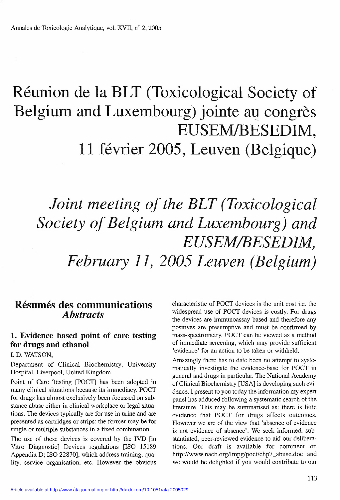# Réunion de la BLT (Toxicological Society of Belgium and Luxembourg) jointe au congrès EUSEM/BESEDIM, 11 février 2005, Leuven (Belgique)

## Joint meeting of the BLT (Toxicological Society of Belgium and Luxembourg) and EUSEM/BESEDIM, February 11, 2005 Leuven (Belgium)

### Résumés des communications **A**bstracts

#### 1. Evidence based point of care testing for drugs and ethanol

I. D. WATSON,

Department of Clinical Biochemistry, University Hospital, Liverpool, United Kingdom.

Point of Care Testing [POCT] has been adopted in many clinical situations because its immediacy. POCT for drugs has almost exclusively been focussed on substance abuse either in clinical workplace or legal situations. The devices typically are for use in urine and are presented as cartridges or strips; the former may be for single or multiple substances in a fixed combination.

The use of these devices is covered by the IVD [in Vitro Diagnostic] Devices regulations [ISO 15189 Appendix D; ISO 22870], which address training, quality, service organisation, etc. However the obvious characteristic of POCT devices is the unit cost i.e. the widespread use of POCT devices is costly. For drugs the devices are immunoassay based and therefore any positives are presumptive and must be confirmed by mass-spectrometry. POCT can be viewed as a method of immediate screening, which may provide sufficient 'evidence' for an action to be taken or withheld.

Amazingly there has to date been no attempt to systematically investigate the evidence-base for POCT in general and drugs in particular. The National Academy of Clinical Biochemistry [USA] is developing such evidence. I present to you today the information my expert panel has adduced following a systematic search of the literature. This may be summarised as: there is little evidence that POCT for drugs affects outcomes. However we are of the view that 'absence of evidence is not evidence of absence'. We seek informed, substantiated, peer-reviewed evidence to aid our deliberations. Our draft is available for comment on http://www.nacb.org/lmpg/poct/chp7\_abuse.doc and we would be delighted if you would contribute to our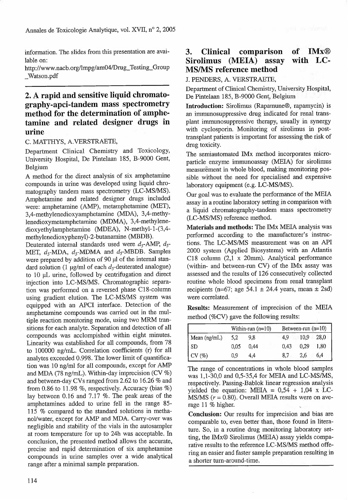information. The slides from this presentation are avai- $\frac{3}{4}$ lable on:

http://www.nacb.org/lmpg/am04/Drug\_Testing\_Group \_Watson.pdf

#### 2. A rapid and sensitive liquid chromatography-apci-tandem mass spectrometry method for the determination of amphetamine and related designer drugs in urine

C. MATTHYS, A.VERSTRAETE,

Department Clinical Chemistry and Toxicology, University Hospital, De Pintelaan 185, B-9000 Gent, Belgium

A method for the direct analysis of six amphetamine compounds in urine was developed using liquid chromatography tandem mass spectrometry (LC-MS/MS). Amphetamine and related designer drugs included were: amphetamine (AMP), metamphetamine (MET), 3,4-methylenedioxyamphetamine (MDA), 3,4-methylenedioxymetamphetamine (MDMA), 3,4-methylenedioxyethylamphetamine (MDEA), N-methyl-l-(3,4 methylenedioxyphenyl)-2-butanamine (MBDB).

Deuterated internal standards used were  $d_5$ -AMP,  $d_5$ -MET,  $d_5$ -MDA,  $d_5$ -MDMA and  $d_5$ -MBDB. Samples were prepared by addition of 90 µl of the internal standard solution (1 µg/ml of each  $d_5$ -deuterated analogue) to 10 µL urine, followed by centrifugation and direct injection into LC-MS/MS. Chromatographic separation was performed on a reversed phase C18-column using gradient elution. The LC-MS/MS system was equipped with an APCI interface. Detection of the amphetamine compounds was carried out in the multiple reaction monitoring mode, using two MRM transitions for each analyte. Separation and detection of all compounds was acclompished within eight minutes. Linearity was established for all compounds, from 78 to 100000 ng/mL. Correlation coefficients (r) for all analytes exceeded 0.998. The lower limit of quantification was 10 ng/ml for all compounds, except for AMP and MDA (78 ng/mL). Within-day imprecision (CV %) and between-day CVs ranged from 2.62 to 16.26 % and from 0.86 to 11.98 %, respectively. Accuracy (bias %) lay between 0.16 and 7.17 %. The peak areas of the amphetamines added to urine fell in the range 85- 115 % compared to the standard solutions in methanol/water, except for AMP and MDA. Carry-over was negligible and stability of the vials in the autosampler at room temperature for up to 24h was acceptable. In conclusion, the presented method allows the accurate, precise and rapid determination of six amphetamine compounds in urine samples over a wide analytical range after a minimal sample preparation.

#### 3. Clinical comparison of IMx® Sirolimus (MEIA) assay with LC-MS/MS reference method

J. PENDERS, A. VERSTRAETE,

Department of Clinical Chemistry, University Hospital, De Pintelaan 185, B-9000 Gent;, Belgium

Introduction: Sirolimus (Rapamune®, rapamycin) is an immunosuppressive drug indicated for renal transplant immunosuppressive therapy, usually in synergy with cyclosporin. Monitoring of sirolimus in posttransplant patients is important for assessing the risk of drug toxicity.

The semiautomated IMx method incorporates microparticle enzyme immunoassay (MEIA) for sirolimus measurement in whole blood, making monitoring possible without the need for specialised and expensive laboratory equipment (e.g. LC-MS/MS).

Our goal was to evaluate the performance of the MEIA assay in a routine laboratory setting in comparison with a liquid chromatography-tandem mass spectrometry (LC-MS/MS) reference method.

Materials and methods: The IMx MEIA analysis was performed according to the manufacturer's instructions. The LC-MS/MS measurement was on an API 2000 system (Applied Biosystems) with an Atlantis C18 column  $(2,1 \times 20$ mm). Analytical performance (within- and between-run CV) of the IMx assay was assessed and the results of 126 consecutively collected routine whole blood specimens from renal transplant recipients (n=67; age 54.1  $\pm$  24.4 years, mean  $\pm$  2sd) were correlated.

Results: Measurement of imprecision of the MELA method (%CV) gave the following results:

|                   | Within-run $(n=10)$ |      | Between-run $(n=10)$ |      |      |
|-------------------|---------------------|------|----------------------|------|------|
| Mean (ng/mL)      | 5,2                 | 9,8  | 4.9                  | 10,9 | 28,0 |
| -SD               | 0.05                | 0.44 | 0,43                 | 0,29 | 1,80 |
| $\vert$ CV $(\%)$ | 0.9                 | 4.4  | 8.7                  | 2,6  | 6.4  |

The range of concentrations in whole blood samples was 1,1-30,0 and 0,5-35,4 for MEIA and LC-MS/MS, respectively. Passing-Bablok linear regression analysis yielded the equation: MEIA =  $0.54 + 1.04$  x LC-MS/MS  $(r = 0.80)$ . Overall MEIA results were on average  $11 \%$  higher.

Conclusion: Our results for imprecision and bias are comparable to, even better than, those found in literature. So, in a routine drug monitoring laboratory setting, the IMx® Sirolimus (MEIA) assay yields comparative results to the reference LC-MS/MS method offering an easier and faster sample preparation resulting in a shorter turn-around-time.